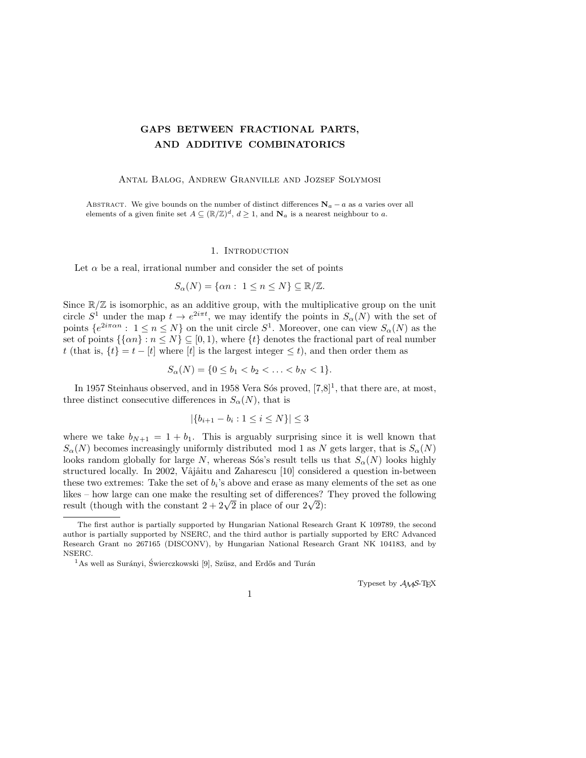# GAPS BETWEEN FRACTIONAL PARTS, AND ADDITIVE COMBINATORICS

## Antal Balog, Andrew Granville and Jozsef Solymosi

ABSTRACT. We give bounds on the number of distinct differences  $\mathbf{N}_a - a$  as a varies over all elements of a given finite set  $A \subseteq (\mathbb{R}/\mathbb{Z})^d$ ,  $d \geq 1$ , and  $\mathbf{N}_a$  is a nearest neighbour to a.

## 1. INTRODUCTION

Let  $\alpha$  be a real, irrational number and consider the set of points

$$
S_{\alpha}(N) = \{\alpha n : 1 \le n \le N\} \subseteq \mathbb{R}/\mathbb{Z}.
$$

Since  $\mathbb{R}/\mathbb{Z}$  is isomorphic, as an additive group, with the multiplicative group on the unit circle  $S^1$  under the map  $t \to e^{2i\pi t}$ , we may identify the points in  $S_\alpha(N)$  with the set of points  $\{e^{2i\pi\alpha n} : 1 \leq n \leq N\}$  on the unit circle  $S^1$ . Moreover, one can view  $S_{\alpha}(N)$  as the set of points  $\{\{\alpha n\} : n \leq N\} \subseteq [0,1)$ , where  $\{t\}$  denotes the fractional part of real number t (that is,  $\{t\} = t - [t]$  where  $[t]$  is the largest integer  $\leq t$ ), and then order them as

$$
S_{\alpha}(N) = \{0 \le b_1 < b_2 < \ldots < b_N < 1\}.
$$

In 1957 Steinhaus observed, and in 1958 Vera Sós proved,  $[7,8]^1$ , that there are, at most, three distinct consecutive differences in  $S_{\alpha}(N)$ , that is

$$
|\{b_{i+1} - b_i : 1 \le i \le N\}| \le 3
$$

where we take  $b_{N+1} = 1 + b_1$ . This is arguably surprising since it is well known that  $S_{\alpha}(N)$  becomes increasingly uniformly distributed mod 1 as N gets larger, that is  $S_{\alpha}(N)$ looks random globally for large N, whereas S<sup>os's</sup> result tells us that  $S_{\alpha}(N)$  looks highly structured locally. In 2002, Vâjâitu and Zaharescu [10] considered a question in-between these two extremes: Take the set of  $b_i$ 's above and erase as many elements of the set as one likes – how large can one make the resulting set of differences? They proved the following nkes – now large can one make the resulting set of differences!<br>result (though with the constant  $2 + 2\sqrt{2}$  in place of our  $2\sqrt{2}$ ):

Typeset by  $\mathcal{A}\mathcal{M}$ S-T<sub>F</sub>X

1

The first author is partially supported by Hungarian National Research Grant K 109789, the second author is partially supported by NSERC, and the third author is partially supported by ERC Advanced Research Grant no 267165 (DISCONV), by Hungarian National Research Grant NK 104183, and by NSERC.

<sup>&</sup>lt;sup>1</sup>As well as Surányi, Świerczkowski [9], Szüsz, and Erdős and Turán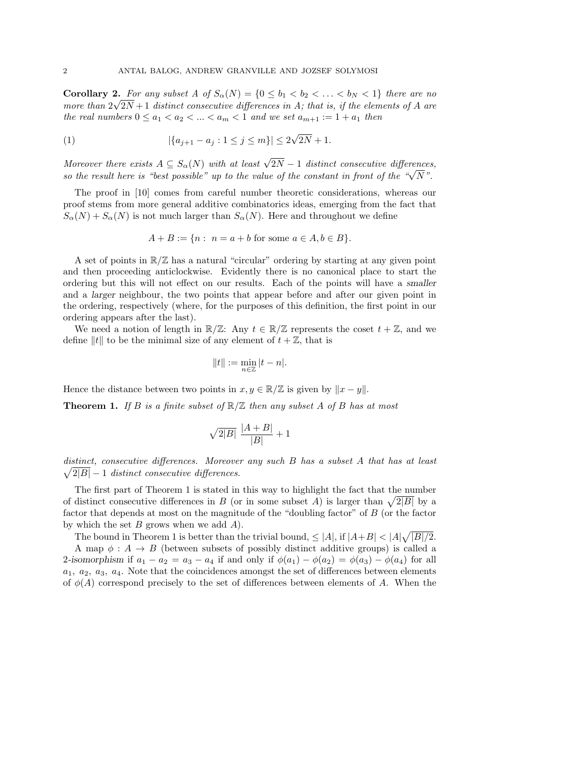**Corollary 2.** For any subset A of  $S_{\alpha}(N) = \{0 \leq b_1 < b_2 < \ldots < b_N < 1\}$  there are no more than  $2\sqrt{2}N+1$  distinct consecutive differences in A; that is, if the elements of A are the real numbers  $0 \le a_1 \le a_2 \le ... \le a_m \le 1$  and we set  $a_{m+1} := 1 + a_1$  then

(1) 
$$
|\{a_{j+1}-a_j: 1 \le j \le m\}| \le 2\sqrt{2N}+1.
$$

Moreover there exists  $A \subseteq S_\alpha(N)$  with at least  $\sqrt{2N} - 1$  distinct consecutive differences, *so the result here is "best possible" up to the value of the constant in front of the "* $\sqrt{N}$ ".

The proof in [10] comes from careful number theoretic considerations, whereas our proof stems from more general additive combinatorics ideas, emerging from the fact that  $S_{\alpha}(N) + S_{\alpha}(N)$  is not much larger than  $S_{\alpha}(N)$ . Here and throughout we define

$$
A + B := \{ n : n = a + b \text{ for some } a \in A, b \in B \}.
$$

A set of points in  $\mathbb{R}/\mathbb{Z}$  has a natural "circular" ordering by starting at any given point and then proceeding anticlockwise. Evidently there is no canonical place to start the ordering but this will not effect on our results. Each of the points will have a smaller and a larger neighbour, the two points that appear before and after our given point in the ordering, respectively (where, for the purposes of this definition, the first point in our ordering appears after the last).

We need a notion of length in  $\mathbb{R}/\mathbb{Z}$ : Any  $t \in \mathbb{R}/\mathbb{Z}$  represents the coset  $t + \mathbb{Z}$ , and we define ||t|| to be the minimal size of any element of  $t + \mathbb{Z}$ , that is

$$
||t|| := \min_{n \in \mathbb{Z}} |t - n|.
$$

Hence the distance between two points in  $x, y \in \mathbb{R}/\mathbb{Z}$  is given by  $||x - y||$ .

**Theorem 1.** If B is a finite subset of  $\mathbb{R}/\mathbb{Z}$  then any subset A of B has at most

$$
\sqrt{2|B|}\ \frac{|A+B|}{|B|}+1
$$

distinct, consecutive differences. Moreover any such B has a subset A that has at least  $\sqrt{2|B|} - 1$  distinct consecutive differences.

The first part of Theorem 1 is stated in this way to highlight the fact that the number of distinct consecutive differences in B (or in some subset A) is larger than  $\sqrt{2|B|}$  by a factor that depends at most on the magnitude of the "doubling factor" of B (or the factor by which the set  $B$  grows when we add  $A$ ).

The bound in Theorem 1 is better than the trivial bound,  $\leq |A|$ , if  $|A+B| < |A|\sqrt{|B|/2}$ . A map  $\phi: A \to B$  (between subsets of possibly distinct additive groups) is called a 2-isomorphism if  $a_1 - a_2 = a_3 - a_4$  if and only if  $\phi(a_1) - \phi(a_2) = \phi(a_3) - \phi(a_4)$  for all  $a_1, a_2, a_3, a_4$ . Note that the coincidences amongst the set of differences between elements of  $\phi(A)$  correspond precisely to the set of differences between elements of A. When the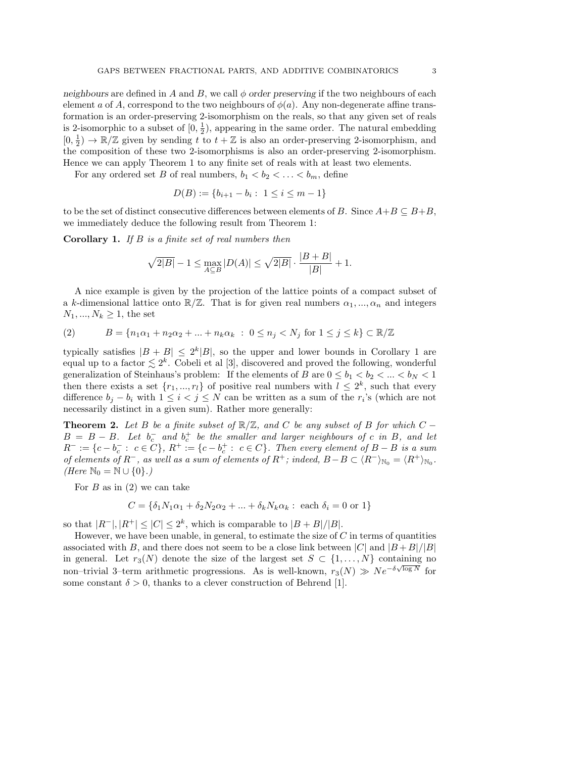neighbours are defined in A and B, we call  $\phi$  order preserving if the two neighbours of each element a of A, correspond to the two neighbours of  $\phi(a)$ . Any non-degenerate affine transformation is an order-preserving 2-isomorphism on the reals, so that any given set of reals is 2-isomorphic to a subset of  $[0, \frac{1}{2}]$  $\frac{1}{2}$ , appearing in the same order. The natural embedding  $[0, \frac{1}{2}]$  $\frac{1}{2}$   $\rightarrow \mathbb{R}/\mathbb{Z}$  given by sending t to  $t + \mathbb{Z}$  is also an order-preserving 2-isomorphism, and the composition of these two 2-isomorphisms is also an order-preserving 2-isomorphism. Hence we can apply Theorem 1 to any finite set of reals with at least two elements.

For any ordered set B of real numbers,  $b_1 < b_2 < \ldots < b_m$ , define

$$
D(B) := \{b_{i+1} - b_i : 1 \le i \le m - 1\}
$$

to be the set of distinct consecutive differences between elements of B. Since  $A+B\subseteq B+B$ , we immediately deduce the following result from Theorem 1:

Corollary 1. If B is a finite set of real numbers then

$$
\sqrt{2|B|} - 1 \le \max_{A \subseteq B} |D(A)| \le \sqrt{2|B|} \cdot \frac{|B+B|}{|B|} + 1.
$$

A nice example is given by the projection of the lattice points of a compact subset of a k-dimensional lattice onto  $\mathbb{R}/\mathbb{Z}$ . That is for given real numbers  $\alpha_1, ..., \alpha_n$  and integers  $N_1, ..., N_k \ge 1$ , the set

(2) 
$$
B = \{n_1\alpha_1 + n_2\alpha_2 + \dots + n_k\alpha_k : 0 \le n_j < N_j \text{ for } 1 \le j \le k\} \subset \mathbb{R}/\mathbb{Z}
$$

typically satisfies  $|B + B| \leq 2^k |B|$ , so the upper and lower bounds in Corollary 1 are equal up to a factor  $\lesssim 2^k$ . Cobeli et al [3], discovered and proved the following, wonderful generalization of Steinhaus's problem: If the elements of B are  $0 \le b_1 < b_2 < ... < b_N < 1$ then there exists a set  $\{r_1, ..., r_l\}$  of positive real numbers with  $l \leq 2^k$ , such that every difference  $b_j - b_i$  with  $1 \leq i < j \leq N$  can be written as a sum of the  $r_i$ 's (which are not necessarily distinct in a given sum). Rather more generally:

**Theorem 2.** Let B be a finite subset of  $\mathbb{R}/\mathbb{Z}$ , and C be any subset of B for which C –  $B = B - B$ . Let  $b_c^-$  and  $b_c^+$  be the smaller and larger neighbours of c in B, and let  $R^- := \{c - b_c^- : c \in C\}, R^+ := \{c - b_c^+ : c \in C\}.$  Then every element of  $B - B$  is a sum of elements of  $R^-$ , as well as a sum of elements of  $R^+$ ; indeed,  $B-B \subset \langle R^-\rangle_{\mathbb{N}_0} = \langle R^+\rangle_{\mathbb{N}_0}$ . (Here  $\mathbb{N}_0 = \mathbb{N} \cup \{0\}$ .)

For  $B$  as in (2) we can take

$$
C = \{ \delta_1 N_1 \alpha_1 + \delta_2 N_2 \alpha_2 + \dots + \delta_k N_k \alpha_k : \text{ each } \delta_i = 0 \text{ or } 1 \}
$$

so that  $|R^{-}|, |R^{+}| \leq |C| \leq 2^{k}$ , which is comparable to  $|B + B|/|B|$ .

However, we have been unable, in general, to estimate the size of  $C$  in terms of quantities associated with B, and there does not seem to be a close link between  $|C|$  and  $|B + B|/|B|$ in general. Let  $r_3(N)$  denote the size of the largest set  $S \subset \{1, \ldots, N\}$  containing no non–trivial 3–term arithmetic progressions. As is well-known,  $r_3(N) \gg Ne^{-\delta\sqrt{\log N}}$  for some constant  $\delta > 0$ , thanks to a clever construction of Behrend [1].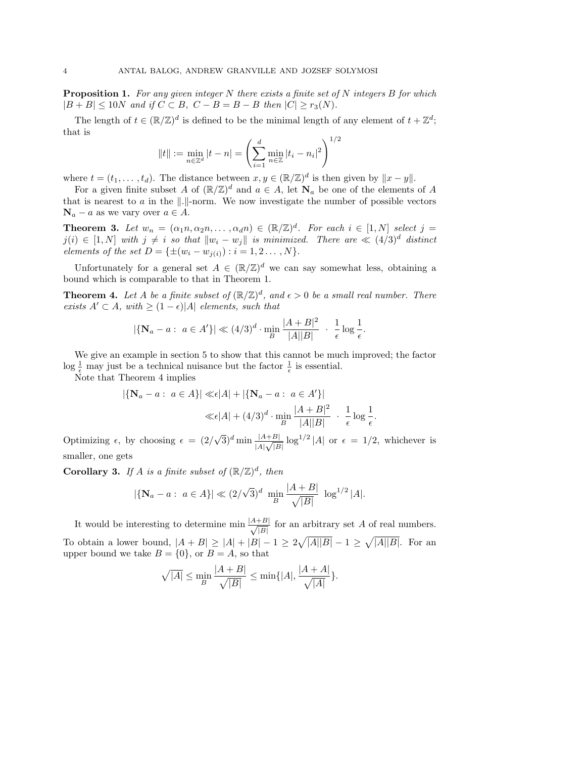**Proposition 1.** For any given integer N there exists a finite set of N integers B for which  $|B + B| \leq 10N$  and if  $C \subset B$ ,  $C - B = B - B$  then  $|C| \geq r_3(N)$ .

The length of  $t \in (\mathbb{R}/\mathbb{Z})^d$  is defined to be the minimal length of any element of  $t + \mathbb{Z}^d$ ; that is  $1/2$ 

$$
||t|| := \min_{n \in \mathbb{Z}^d} |t - n| = \left(\sum_{i=1}^d \min_{n \in \mathbb{Z}} |t_i - n_i|^2\right)^{1/2}
$$

where  $t = (t_1, \ldots, t_d)$ . The distance between  $x, y \in (\mathbb{R}/\mathbb{Z})^d$  is then given by  $||x - y||$ .

For a given finite subset A of  $(\mathbb{R}/\mathbb{Z})^d$  and  $a \in A$ , let  $\mathbf{N}_a$  be one of the elements of A that is nearest to  $a$  in the  $\|.\|$ -norm. We now investigate the number of possible vectors  $\mathbf{N}_a - a$  as we vary over  $a \in A$ .

**Theorem 3.** Let  $w_n = (\alpha_1 n, \alpha_2 n, \dots, \alpha_d n) \in (\mathbb{R}/\mathbb{Z})^d$ . For each  $i \in [1, N]$  select  $j =$  $j(i) \in [1, N]$  with  $j \neq i$  so that  $||w_i - w_j||$  is minimized. There are  $\ll (4/3)^d$  distinct elements of the set  $D = \{\pm (w_i - w_{j(i)}) : i = 1, 2 \dots, N\}.$ 

Unfortunately for a general set  $A \in (\mathbb{R}/\mathbb{Z})^d$  we can say somewhat less, obtaining a bound which is comparable to that in Theorem 1.

**Theorem 4.** Let A be a finite subset of  $(\mathbb{R}/\mathbb{Z})^d$ , and  $\epsilon > 0$  be a small real number. There exists  $A' \subset A$ , with  $\geq (1 - \epsilon)|A|$  elements, such that

$$
|\{\mathbf{N}_a - a : a \in A'\}| \ll (4/3)^d \cdot \min_B \frac{|A + B|^2}{|A||B|} \cdot \frac{1}{\epsilon} \log \frac{1}{\epsilon}.
$$

We give an example in section 5 to show that this cannot be much improved; the factor  $\log \frac{1}{\epsilon}$  may just be a technical nuisance but the factor  $\frac{1}{\epsilon}$  is essential.

Note that Theorem 4 implies

$$
|\{\mathbf{N}_a - a : a \in A\}| \ll \epsilon |A| + |\{\mathbf{N}_a - a : a \in A'\}|
$$
  
 $\ll \epsilon |A| + (4/3)^d \cdot \min_B \frac{|A + B|^2}{|A||B|} \cdot \frac{1}{\epsilon} \log \frac{1}{\epsilon}.$ 

Optimizing  $\epsilon$ , by choosing  $\epsilon = (2/$  $(\sqrt{3})^d$  min  $\frac{|A+B|}{|A|\sqrt{|B|}}\log^{1/2}|A|$  or  $\epsilon = 1/2$ , whichever is smaller, one gets

**Corollary 3.** If A is a finite subset of  $(\mathbb{R}/\mathbb{Z})^d$ , then

$$
|\{\mathbf{N}_a - a: a \in A\}| \ll (2/\sqrt{3})^d \min_B \frac{|A+B|}{\sqrt{|B|}} \log^{1/2} |A|.
$$

It would be interesting to determine min  $\frac{|A+B|}{\sqrt{|\mathbf{p}|}}$  $\frac{+B}{|B|}$  for an arbitrary set A of real numbers. To obtain a lower bound,  $|A + B| \geq |A| + |B| - 1 \geq 2\sqrt{|A||B|} - 1 \geq \sqrt{|A||B|}$ . For an upper bound we take  $B = \{0\}$ , or  $B = A$ , so that

$$
\sqrt{|A|} \le \min_B \frac{|A+B|}{\sqrt{|B|}} \le \min\{|A|, \frac{|A+A|}{\sqrt{|A|}}\}.
$$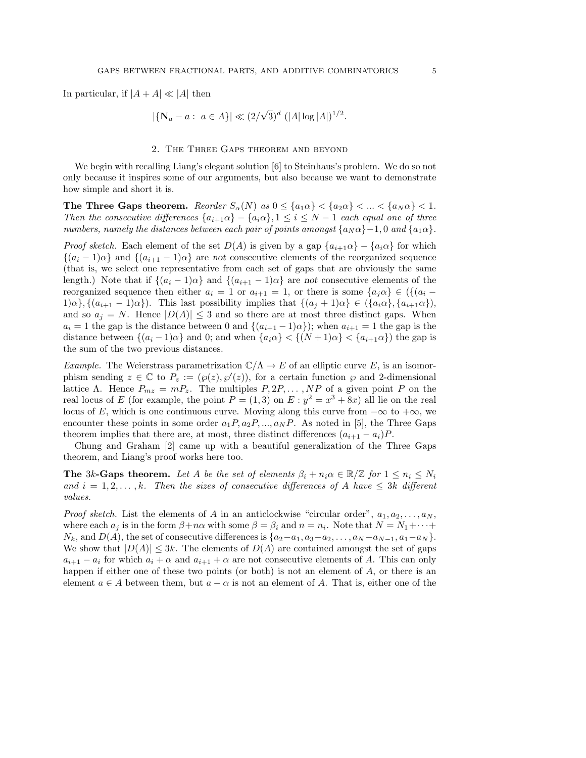In particular, if  $|A + A| \ll |A|$  then

$$
|\{\mathbf{N}_a - a : a \in A\}| \ll (2/\sqrt{3})^d \ (|A| \log |A|)^{1/2}.
$$

### 2. The Three Gaps theorem and beyond

We begin with recalling Liang's elegant solution [6] to Steinhaus's problem. We do so not only because it inspires some of our arguments, but also because we want to demonstrate how simple and short it is.

The Three Gaps theorem. Reorder  $S_{\alpha}(N)$  as  $0 \leq \{a_1 \alpha\} < \{a_2 \alpha\} < ... < \{a_N \alpha\} < 1$ . Then the consecutive differences  $\{a_{i+1}\alpha\} - \{a_i\alpha\}, 1 \leq i \leq N-1$  each equal one of three numbers, namely the distances between each pair of points amongst  $\{a_N \alpha\}$ –1,0 and  $\{a_1 \alpha\}$ .

*Proof sketch.* Each element of the set  $D(A)$  is given by a gap  $\{a_{i+1}\alpha\} - \{a_i\alpha\}$  for which  ${(a_i - 1)\alpha}$  and  ${(a_{i+1} - 1)\alpha}$  are not consecutive elements of the reorganized sequence (that is, we select one representative from each set of gaps that are obviously the same length.) Note that if  $\{(a_i - 1)\alpha\}$  and  $\{(a_{i+1} - 1)\alpha\}$  are not consecutive elements of the reorganized sequence then either  $a_i = 1$  or  $a_{i+1} = 1$ , or there is some  $\{a_i \alpha\} \in (\{(a_i 1)\alpha\}, \{(a_{i+1}-1)\alpha\}).$  This last possibility implies that  $\{(a_i+1)\alpha\} \in (\{a_i\alpha\}, \{a_{i+1}\alpha\}),$ and so  $a_j = N$ . Hence  $|D(A)| \leq 3$  and so there are at most three distinct gaps. When  $a_i = 1$  the gap is the distance between 0 and  $\{(a_{i+1}-1)\alpha\}$ ; when  $a_{i+1} = 1$  the gap is the distance between  $\{(a_i - 1)\alpha\}$  and 0; and when  $\{a_i\alpha\} < \{(N+1)\alpha\} < \{a_{i+1}\alpha\}$  the gap is the sum of the two previous distances.

*Example.* The Weierstrass parametrization  $\mathbb{C}/\Lambda \to E$  of an elliptic curve E, is an isomorphism sending  $z \in \mathbb{C}$  to  $P_z := (\varphi(z), \varphi'(z))$ , for a certain function  $\varphi$  and 2-dimensional lattice Λ. Hence  $P_{mz} = mP_z$ . The multiples  $P, 2P, \ldots, NP$  of a given point P on the real locus of E (for example, the point  $P = (1,3)$  on  $E: y^2 = x^3 + 8x$ ) all lie on the real locus of E, which is one continuous curve. Moving along this curve from  $-\infty$  to  $+\infty$ , we encounter these points in some order  $a_1P, a_2P, ..., a_NP$ . As noted in [5], the Three Gaps theorem implies that there are, at most, three distinct differences  $(a_{i+1} - a_i)P$ .

Chung and Graham [2] came up with a beautiful generalization of the Three Gaps theorem, and Liang's proof works here too.

**The 3k-Gaps theorem.** Let A be the set of elements  $\beta_i + n_i \alpha \in \mathbb{R}/\mathbb{Z}$  for  $1 \leq n_i \leq N_i$ and  $i = 1, 2, \ldots, k$ . Then the sizes of consecutive differences of A have  $\leq 3k$  different values.

*Proof sketch.* List the elements of A in an anticlockwise "circular order",  $a_1, a_2, \ldots, a_N$ , where each  $a_j$  is in the form  $\beta + n\alpha$  with some  $\beta = \beta_i$  and  $n = n_i$ . Note that  $N = N_1 + \cdots +$  $N_k$ , and  $D(A)$ , the set of consecutive differences is  $\{a_2-a_1, a_3-a_2, \ldots, a_N-a_{N-1}, a_1-a_N\}.$ We show that  $|D(A)| \leq 3k$ . The elements of  $D(A)$  are contained amongst the set of gaps  $a_{i+1} - a_i$  for which  $a_i + \alpha$  and  $a_{i+1} + \alpha$  are not consecutive elements of A. This can only happen if either one of these two points (or both) is not an element of A, or there is an element  $a \in A$  between them, but  $a - \alpha$  is not an element of A. That is, either one of the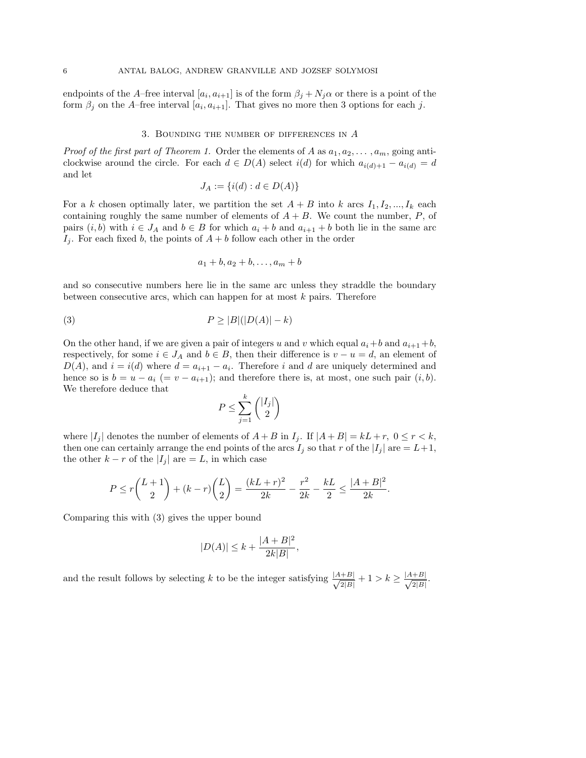endpoints of the A–free interval  $[a_i, a_{i+1}]$  is of the form  $\beta_j + N_j \alpha$  or there is a point of the form  $\beta_j$  on the A–free interval  $[a_i, a_{i+1}]$ . That gives no more then 3 options for each j.

#### 3. BOUNDING THE NUMBER OF DIFFERENCES IN  $A$

*Proof of the first part of Theorem 1.* Order the elements of A as  $a_1, a_2, \ldots, a_m$ , going anticlockwise around the circle. For each  $d \in D(A)$  select  $i(d)$  for which  $a_{i(d)+1} - a_{i(d)} = d$ and let

$$
J_A := \{i(d) : d \in D(A)\}
$$

For a k chosen optimally later, we partition the set  $A + B$  into k arcs  $I_1, I_2, ..., I_k$  each containing roughly the same number of elements of  $A + B$ . We count the number, P, of pairs  $(i, b)$  with  $i \in J_A$  and  $b \in B$  for which  $a_i + b$  and  $a_{i+1} + b$  both lie in the same arc  $I_i$ . For each fixed b, the points of  $A + b$  follow each other in the order

$$
a_1+b, a_2+b, \ldots, a_m+b
$$

and so consecutive numbers here lie in the same arc unless they straddle the boundary between consecutive arcs, which can happen for at most  $k$  pairs. Therefore

$$
(3) \t\t\t P \ge |B|(|D(A)| - k)
$$

On the other hand, if we are given a pair of integers u and v which equal  $a_i + b$  and  $a_{i+1} + b$ , respectively, for some  $i \in J_A$  and  $b \in B$ , then their difference is  $v - u = d$ , an element of  $D(A)$ , and  $i = i(d)$  where  $d = a_{i+1} - a_i$ . Therefore i and d are uniquely determined and hence so is  $b = u - a_i$  (=  $v - a_{i+1}$ ); and therefore there is, at most, one such pair  $(i, b)$ . We therefore deduce that

$$
P \le \sum_{j=1}^{k} \binom{|I_j|}{2}
$$

where  $|I_i|$  denotes the number of elements of  $A + B$  in  $I_i$ . If  $|A + B| = kL + r$ ,  $0 \le r < k$ , then one can certainly arrange the end points of the arcs  $I_j$  so that r of the  $|I_j|$  are  $= L+1$ , the other  $k - r$  of the  $|I_i|$  are  $= L$ , in which case

$$
P \le r\binom{L+1}{2} + (k-r)\binom{L}{2} = \frac{(kL+r)^2}{2k} - \frac{r^2}{2k} - \frac{kL}{2} \le \frac{|A+B|^2}{2k}.
$$

Comparing this with (3) gives the upper bound

$$
|D(A)| \le k + \frac{|A+B|^2}{2k|B|},
$$

and the result follows by selecting k to be the integer satisfying  $\frac{|A+B|}{\sqrt{MN}}$  $\frac{+B|}{2|B|}+1 > k \geq \frac{|A+B|}{\sqrt{2|B|}}$  $\frac{+B|}{2|B|}.$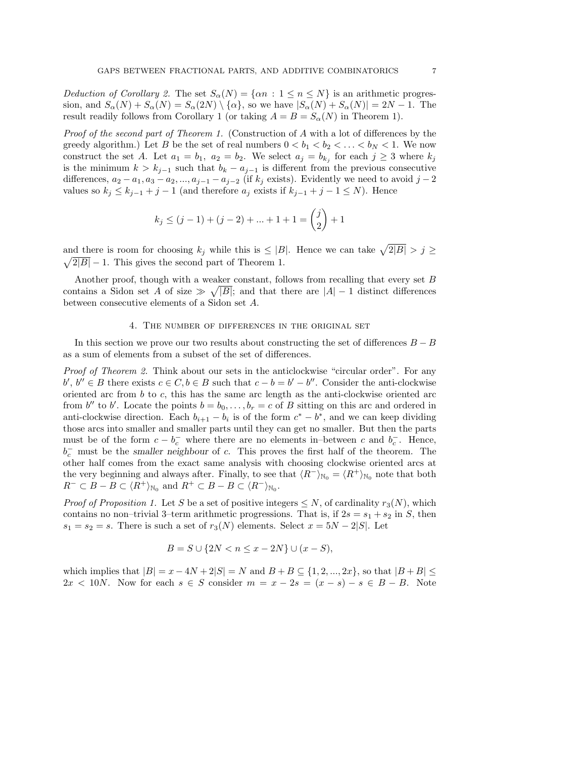Deduction of Corollary 2. The set  $S_{\alpha}(N) = {\alpha n : 1 \le n \le N}$  is an arithmetic progression, and  $S_{\alpha}(N) + S_{\alpha}(N) = S_{\alpha}(2N) \setminus {\{\alpha\}}$ , so we have  $|S_{\alpha}(N) + S_{\alpha}(N)| = 2N - 1$ . The result readily follows from Corollary 1 (or taking  $A = B = S<sub>\alpha</sub>(N)$  in Theorem 1).

Proof of the second part of Theorem 1. (Construction of A with a lot of differences by the greedy algorithm.) Let B be the set of real numbers  $0 < b_1 < b_2 < \ldots < b_N < 1$ . We now construct the set A. Let  $a_1 = b_1$ ,  $a_2 = b_2$ . We select  $a_j = b_{k_j}$  for each  $j \geq 3$  where  $k_j$ is the minimum  $k > k_{j-1}$  such that  $b_k - a_{j-1}$  is different from the previous consecutive differences,  $a_2 - a_1, a_3 - a_2, ..., a_{j-1} - a_{j-2}$  (if  $k_j$  exists). Evidently we need to avoid  $j-2$ values so  $k_j \leq k_{j-1} + j - 1$  (and therefore  $a_j$  exists if  $k_{j-1} + j - 1 \leq N$ ). Hence

$$
k_j \le (j-1) + (j-2) + \dots + 1 + 1 = \binom{j}{2} + 1
$$

and there is room for choosing  $k_j$  while this is  $\leq |B|$ . Hence we can take  $\sqrt{2|B|} > j \geq$  $\sqrt{2|B|} - 1$ . This gives the second part of Theorem 1.

Another proof, though with a weaker constant, follows from recalling that every set B contains a Sidon set A of size  $\gg \sqrt{|B|}$ ; and that there are  $|A| - 1$  distinct differences between consecutive elements of a Sidon set A.

## 4. The number of differences in the original set

In this section we prove our two results about constructing the set of differences  $B - B$ as a sum of elements from a subset of the set of differences.

Proof of Theorem 2. Think about our sets in the anticlockwise "circular order". For any  $b', b'' \in B$  there exists  $c \in C, b \in B$  such that  $c - b = b' - b''$ . Consider the anti-clockwise oriented arc from b to c, this has the same arc length as the anti-clockwise oriented arc from  $b''$  to b'. Locate the points  $b = b_0, \ldots, b_r = c$  of B sitting on this arc and ordered in anti-clockwise direction. Each  $b_{i+1} - b_i$  is of the form  $c^* - b^*$ , and we can keep dividing those arcs into smaller and smaller parts until they can get no smaller. But then the parts must be of the form  $c - b_c^-$  where there are no elements in–between c and  $b_c^-$ . Hence,  $b_c^-$  must be the smaller neighbour of c. This proves the first half of the theorem. The other half comes from the exact same analysis with choosing clockwise oriented arcs at the very beginning and always after. Finally, to see that  $\langle R^{-} \rangle_{\mathbb{N}_{0}} = \langle R^{+} \rangle_{\mathbb{N}_{0}}$  note that both  $R^{-} \subset B - B \subset \langle R^{+} \rangle_{\mathbb{N}_{0}}$  and  $R^{+} \subset B - B \subset \langle R^{-} \rangle_{\mathbb{N}_{0}}$ .

*Proof of Proposition 1.* Let S be a set of positive integers  $\leq N$ , of cardinality  $r_3(N)$ , which contains no non–trivial 3–term arithmetic progressions. That is, if  $2s = s_1 + s_2$  in S, then  $s_1 = s_2 = s$ . There is such a set of  $r_3(N)$  elements. Select  $x = 5N - 2|S|$ . Let

$$
B = S \cup \{2N < n \le x - 2N\} \cup (x - S),
$$

which implies that  $|B| = x - 4N + 2|S| = N$  and  $B + B \subseteq \{1, 2, ..., 2x\}$ , so that  $|B + B| \le$  $2x < 10N$ . Now for each  $s \in S$  consider  $m = x - 2s = (x - s) - s \in B - B$ . Note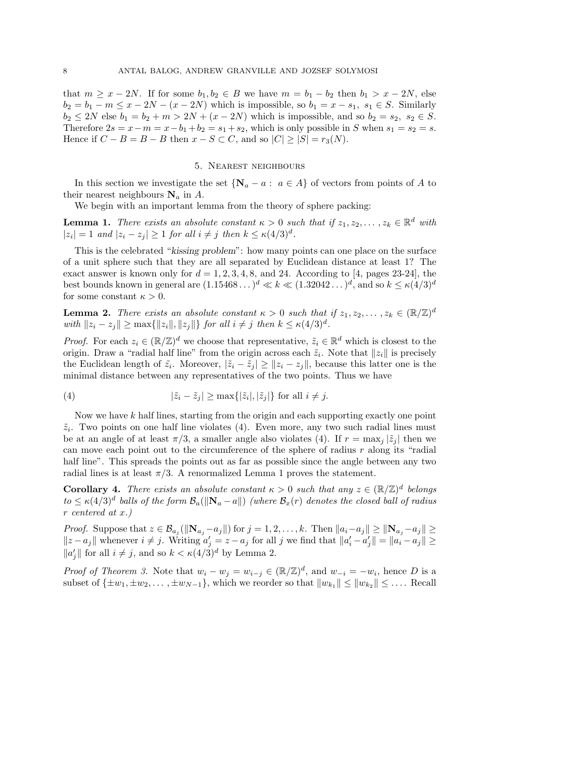that  $m \geq x - 2N$ . If for some  $b_1, b_2 \in B$  we have  $m = b_1 - b_2$  then  $b_1 > x - 2N$ , else  $b_2 = b_1 - m \leq x - 2N - (x - 2N)$  which is impossible, so  $b_1 = x - s_1$ ,  $s_1 \in S$ . Similarly  $b_2 \le 2N$  else  $b_1 = b_2 + m > 2N + (x - 2N)$  which is impossible, and so  $b_2 = s_2, s_2 \in S$ . Therefore  $2s = x - m = x - b_1 + b_2 = s_1 + s_2$ , which is only possible in S when  $s_1 = s_2 = s$ . Hence if  $C - B = B - B$  then  $x - S \subset C$ , and so  $|C| > |S| = r_3(N)$ .

## 5. Nearest neighbours

In this section we investigate the set  $\{N_a - a : a \in A\}$  of vectors from points of A to their nearest neighbours  $N_a$  in A.

We begin with an important lemma from the theory of sphere packing:

**Lemma 1.** There exists an absolute constant  $\kappa > 0$  such that if  $z_1, z_2, \ldots, z_k \in \mathbb{R}^d$  with  $|z_i|=1$  and  $|z_i-z_j|\geq 1$  for all  $i\neq j$  then  $k\leq \kappa (4/3)^d$ .

This is the celebrated "kissing problem": how many points can one place on the surface of a unit sphere such that they are all separated by Euclidean distance at least 1? The exact answer is known only for  $d = 1, 2, 3, 4, 8$ , and 24. According to [4, pages 23-24], the best bounds known in general are  $(1.15468...)^d \ll k \ll (1.32042...)^d$ , and so  $k \le \kappa(4/3)^d$ for some constant  $\kappa > 0$ .

**Lemma 2.** There exists an absolute constant  $\kappa > 0$  such that if  $z_1, z_2, \ldots, z_k \in (\mathbb{R}/\mathbb{Z})^d$ with  $||z_i - z_j|| \ge \max{||z_i||, ||z_j||}$  for all  $i \ne j$  then  $k \le \kappa(4/3)^d$ .

*Proof.* For each  $z_i \in (\mathbb{R}/\mathbb{Z})^d$  we choose that representative,  $\tilde{z}_i \in \mathbb{R}^d$  which is closest to the origin. Draw a "radial half line" from the origin across each  $\tilde{z}_i$ . Note that  $||z_i||$  is precisely the Euclidean length of  $\tilde{z}_i$ . Moreover,  $|\tilde{z}_i - \tilde{z}_j| \ge ||z_i - z_j||$ , because this latter one is the minimal distance between any representatives of the two points. Thus we have

(4) 
$$
|\tilde{z}_i - \tilde{z}_j| \ge \max\{|\tilde{z}_i|, |\tilde{z}_j|\} \text{ for all } i \ne j.
$$

Now we have k half lines, starting from the origin and each supporting exactly one point  $\tilde{z}_i$ . Two points on one half line violates (4). Even more, any two such radial lines must be at an angle of at least  $\pi/3$ , a smaller angle also violates (4). If  $r = \max_i |\tilde{z}_i|$  then we can move each point out to the circumference of the sphere of radius  $r$  along its "radial" half line". This spreads the points out as far as possible since the angle between any two radial lines is at least  $\pi/3$ . A renormalized Lemma 1 proves the statement.

**Corollary 4.** There exists an absolute constant  $\kappa > 0$  such that any  $z \in (\mathbb{R}/\mathbb{Z})^d$  belongs  $to \leq \kappa (4/3)^d$  balls of the form  $\mathcal{B}_a(\|\mathbf{N}_a-a\|)$  (where  $\mathcal{B}_x(r)$  denotes the closed ball of radius r centered at x.)

Proof. Suppose that  $z \in \mathcal{B}_{a_j}(\|\mathbf{N}_{a_j}-a_j\|)$  for  $j=1,2,\ldots,k$ . Then  $\|a_i-a_j\| \ge \|\mathbf{N}_{a_j}-a_j\| \ge$  $||z - a_j||$  whenever  $i \neq j$ . Writing  $a'_j = z - a_j$  for all j we find that  $||a'_i - a'_j|| = ||a_i - a_j|| \ge$  $||a'_j||$  for all  $i \neq j$ , and so  $k < \kappa(4/3)^d$  by Lemma 2.

*Proof of Theorem 3.* Note that  $w_i - w_j = w_{i-j} \in (\mathbb{R}/\mathbb{Z})^d$ , and  $w_{-i} = -w_i$ , hence D is a subset of  $\{\pm w_1, \pm w_2, \ldots, \pm w_{N-1}\}$ , which we reorder so that  $||w_{k_1}|| \le ||w_{k_2}|| \le \ldots$ . Recall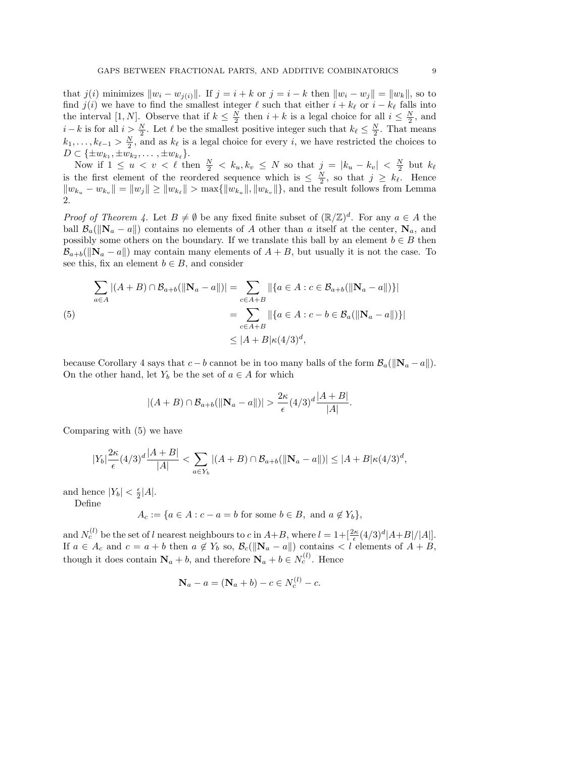that j(i) minimizes  $||w_i - w_{i(i)}||$ . If  $j = i + k$  or  $j = i - k$  then  $||w_i - w_j|| = ||w_k||$ , so to find  $j(i)$  we have to find the smallest integer  $\ell$  such that either  $i + k_{\ell}$  or  $i - k_{\ell}$  falls into the interval [1, N]. Observe that if  $k \leq \frac{N}{2}$  $\frac{N}{2}$  then  $i + k$  is a legal choice for all  $i \leq \frac{N}{2}$  $\frac{N}{2}$ , and  $i - k$  is for all  $i > \frac{N}{2}$ . Let  $\ell$  be the smallest positive integer such that  $k_{\ell} \leq \frac{N}{2}$  $\frac{N}{2}$ . That means  $k_1, \ldots, k_{\ell-1} > \frac{N}{2}$  $\frac{N}{2}$ , and as  $k_{\ell}$  is a legal choice for every i, we have restricted the choices to  $D \subset {\{\pm w_{k_1}, \pm w_{k_2}, \dots, \pm w_{k_\ell}\}}.$ 

Now if  $1 \leq u < v < \ell$  then  $\frac{N}{2} < k_u, k_v \leq N$  so that  $j = |k_u - k_v| < \frac{N}{2}$  $\frac{N}{2}$  but  $k_{\ell}$ is the first element of the reordered sequence which is  $\leq \frac{N}{2}$  $\frac{N}{2}$ , so that  $j \geq k_{\ell}$ . Hence  $||w_{k_u} - w_{k_v}|| = ||w_j|| \ge ||w_{k_\ell}|| > \max{\{||w_{k_u}||, ||w_{k_v}||\}}$ , and the result follows from Lemma 2.

*Proof of Theorem 4.* Let  $B \neq \emptyset$  be any fixed finite subset of  $(\mathbb{R}/\mathbb{Z})^d$ . For any  $a \in A$  the ball  $\mathcal{B}_a(||\mathbf{N}_a - a||)$  contains no elements of A other than a itself at the center,  $\mathbf{N}_a$ , and possibly some others on the boundary. If we translate this ball by an element  $b \in B$  then  $\mathcal{B}_{a+b}(\|\mathbf{N}_a - a\|)$  may contain many elements of  $A + B$ , but usually it is not the case. To see this, fix an element  $b \in B$ , and consider

$$
\sum_{a \in A} |(A + B) \cap \mathcal{B}_{a+b}(\|\mathbf{N}_a - a\|)| = \sum_{c \in A + B} ||\{a \in A : c \in \mathcal{B}_{a+b}(\|\mathbf{N}_a - a\|)\}|\n= \sum_{c \in A + B} ||\{a \in A : c - b \in \mathcal{B}_a(\|\mathbf{N}_a - a\|)\}|\n\leq |A + B|\kappa(4/3)^d,
$$

because Corollary 4 says that  $c - b$  cannot be in too many balls of the form  $\mathcal{B}_a(||\mathbf{N}_a - a||)$ . On the other hand, let  $Y_b$  be the set of  $a \in A$  for which

$$
|(A + B) \cap B_{a+b}(\|\mathbf{N}_a - a\|)| > \frac{2\kappa}{\epsilon} (4/3)^d \frac{|A + B|}{|A|}.
$$

Comparing with (5) we have

$$
|Y_b| \frac{2\kappa}{\epsilon} (4/3)^d \frac{|A+B|}{|A|} < \sum_{a \in Y_b} |(A+B) \cap \mathcal{B}_{a+b}( \| \mathbf{N}_a - a \|) | \leq |A+B| \kappa (4/3)^d,
$$

and hence  $|Y_b| < \frac{\epsilon}{2}$  $\frac{\epsilon}{2}|A|.$ 

Define

$$
A_c := \{ a \in A : c - a = b \text{ for some } b \in B, \text{ and } a \notin Y_b \},
$$

and  $N_c^{(l)}$  be the set of l nearest neighbours to c in  $A+B$ , where  $l=1+[\frac{2\kappa}{\epsilon}(4/3)^d|A+B|/|A|]$ . If  $a \in A_c$  and  $c = a + b$  then  $a \notin Y_b$  so,  $\mathcal{B}_c(\|\mathbf{N}_a - a\|)$  contains  $\lt l$  elements of  $A + B$ , though it does contain  $N_a + b$ , and therefore  $N_a + b \in N_c^{(l)}$ . Hence

$$
\mathbf{N}_a - a = (\mathbf{N}_a + b) - c \in N_c^{(l)} - c.
$$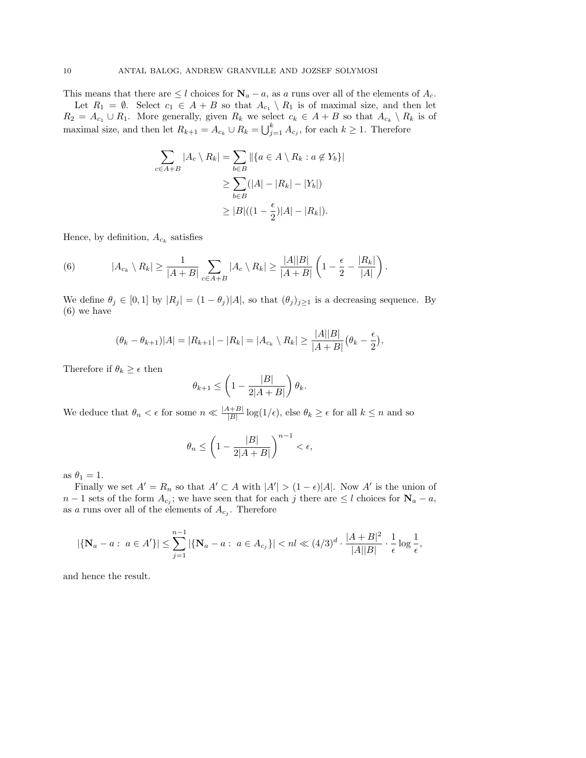This means that there are  $\leq l$  choices for  $\mathbf{N}_a - a$ , as a runs over all of the elements of  $A_c$ . Let  $R_1 = \emptyset$ . Select  $c_1 \in A + B$  so that  $A_{c_1} \setminus R_1$  is of maximal size, and then let

 $R_2 = A_{c_1} \cup R_1$ . More generally, given  $R_k$  we select  $c_k \in A + B$  so that  $A_{c_k} \setminus R_k$  is of maximal size, and then let  $R_{k+1} = A_{c_k} \cup R_k = \bigcup_{j=1}^k A_{c_j}$ , for each  $k \ge 1$ . Therefore

$$
\sum_{c \in A+B} |A_c \setminus R_k| = \sum_{b \in B} ||\{a \in A \setminus R_k : a \notin Y_b\}||
$$
  
\n
$$
\geq \sum_{b \in B} (|A| - |R_k| - |Y_b|)
$$
  
\n
$$
\geq |B|((1 - \frac{\epsilon}{2})|A| - |R_k|).
$$

Hence, by definition,  $A_{c_k}$  satisfies

(6) 
$$
|A_{c_k} \setminus R_k| \geq \frac{1}{|A+B|} \sum_{c \in A+B} |A_c \setminus R_k| \geq \frac{|A||B|}{|A+B|} \left(1 - \frac{\epsilon}{2} - \frac{|R_k|}{|A|}\right).
$$

We define  $\theta_j \in [0,1]$  by  $|R_j| = (1 - \theta_j)|A|$ , so that  $(\theta_j)_{j\geq 1}$  is a decreasing sequence. By (6) we have

$$
(\theta_k - \theta_{k+1})|A| = |R_{k+1}| - |R_k| = |A_{c_k} \setminus R_k| \ge \frac{|A||B|}{|A+B|} (\theta_k - \frac{\epsilon}{2}),
$$

Therefore if  $\theta_k \geq \epsilon$  then

$$
\theta_{k+1} \le \left(1 - \frac{|B|}{2|A+B|}\right)\theta_k.
$$

We deduce that  $\theta_n < \epsilon$  for some  $n \ll \frac{|A+B|}{|B|} \log(1/\epsilon)$ , else  $\theta_k \geq \epsilon$  for all  $k \leq n$  and so

$$
\theta_n \le \left(1 - \frac{|B|}{2|A+B|}\right)^{n-1} < \epsilon,
$$

as  $\theta_1 = 1$ .

Finally we set  $A' = R_n$  so that  $A' \subset A$  with  $|A'| > (1 - \epsilon)|A|$ . Now A' is the union of  $n-1$  sets of the form  $A_{c_j}$ ; we have seen that for each j there are  $\leq l$  choices for  $\mathbf{N}_a - a$ , as a runs over all of the elements of  $A_{c_j}$ . Therefore

$$
|\{\mathbf{N}_a - a: a \in A'\}| \leq \sum_{j=1}^{n-1} |\{\mathbf{N}_a - a: a \in A_{c_j}\}| < n \leq (4/3)^d \cdot \frac{|A+B|^2}{|A||B|} \cdot \frac{1}{\epsilon} \log \frac{1}{\epsilon},
$$

and hence the result.